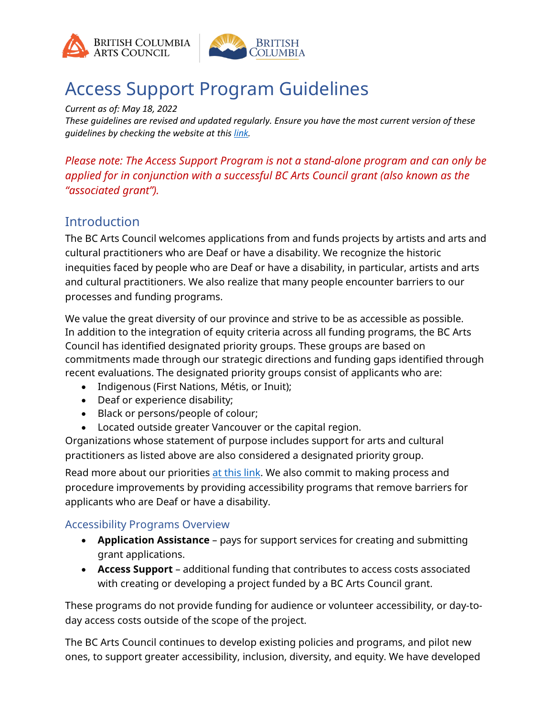



# Access Support Program Guidelines

*Current as of: May 18, 2022*

*These guidelines are revised and updated regularly. Ensure you have the most current version of these guidelines by checking the website at this [link.](https://www.bcartscouncil.ca/program/access-support/)*

*Please note: The Access Support Program is not a stand-alone program and can only be applied for in conjunction with a successful BC Arts Council grant (also known as the "associated grant").* 

#### **Introduction**

The BC Arts Council welcomes applications from and funds projects by artists and arts and cultural practitioners who are Deaf or have a disability. We recognize the historic inequities faced by people who are Deaf or have a disability, in particular, artists and arts and cultural practitioners. We also realize that many people encounter barriers to our processes and funding programs.

We value the great diversity of our province and strive to be as accessible as possible. In addition to the integration of equity criteria across all funding programs, the BC Arts Council has identified designated priority groups. These groups are based on commitments made through our strategic directions and funding gaps identified through recent evaluations. The designated priority groups consist of applicants who are:

- Indigenous (First Nations, Métis, or Inuit);
- Deaf or experience disability;
- Black or persons/people of colour;
- Located outside greater Vancouver or the capital region.

Organizations whose statement of purpose includes support for arts and cultural practitioners as listed above are also considered a designated priority group.

Read more about our priorities [at this link.](https://www.bcartscouncil.ca/priorities/) We also commit to making process and procedure improvements by providing accessibility programs that remove barriers for applicants who are Deaf or have a disability.

#### Accessibility Programs Overview

- **Application Assistance** pays for support services for creating and submitting grant applications.
- **Access Support** additional funding that contributes to access costs associated with creating or developing a project funded by a BC Arts Council grant.

These programs do not provide funding for audience or volunteer accessibility, or day-today access costs outside of the scope of the project.

The BC Arts Council continues to develop existing policies and programs, and pilot new ones, to support greater accessibility, inclusion, diversity, and equity. We have developed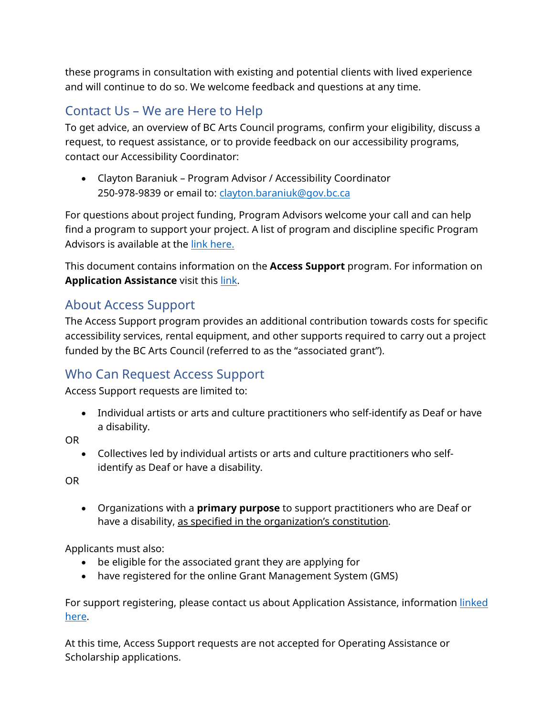these programs in consultation with existing and potential clients with lived experience and will continue to do so. We welcome feedback and questions at any time.

# Contact Us – We are Here to Help

To get advice, an overview of BC Arts Council programs, confirm your eligibility, discuss a request, to request assistance, or to provide feedback on our accessibility programs, contact our Accessibility Coordinator:

• Clayton Baraniuk – Program Advisor / Accessibility Coordinator 250-978-9839 or email to: [clayton.baraniuk@gov.bc.ca](mailto:clayton.baraniuk@gov.bc.ca)

For questions about project funding, Program Advisors welcome your call and can help find a program to support your project. A list of program and discipline specific Program Advisors is available at the [link here.](https://www.bcartscouncil.ca/about/staff-directory/)

This document contains information on the **Access Support** program. For information on **Application Assistance** visit this *link*.

## About Access Support

The Access Support program provides an additional contribution towards costs for specific accessibility services, rental equipment, and other supports required to carry out a project funded by the BC Arts Council (referred to as the "associated grant").

# Who Can Request Access Support

Access Support requests are limited to:

• Individual artists or arts and culture practitioners who self-identify as Deaf or have a disability.

OR

• Collectives led by individual artists or arts and culture practitioners who selfidentify as Deaf or have a disability.

OR

• Organizations with a **primary purpose** to support practitioners who are Deaf or have a disability, as specified in the organization's constitution.

Applicants must also:

- be eligible for the associated grant they are applying for
- have registered for the online Grant Management System (GMS)

For support registering, please contact us about Application Assistance, information linked [here.](https://www.bcartscouncil.ca/application-assistance)

At this time, Access Support requests are not accepted for Operating Assistance or Scholarship applications.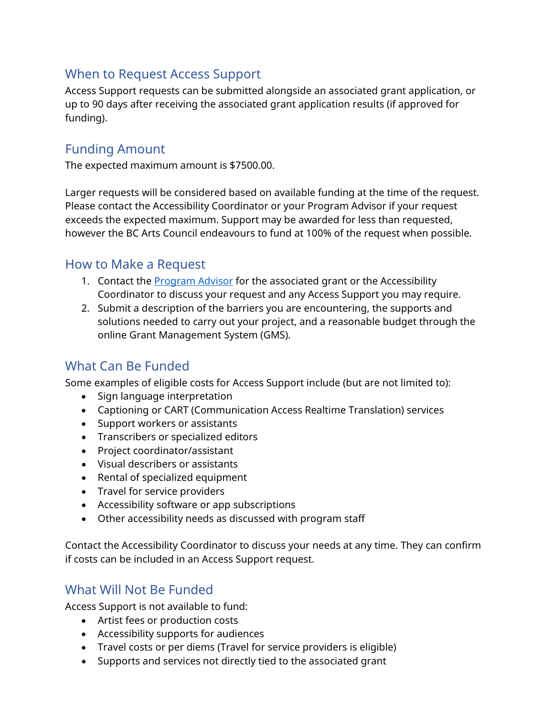## When to Request Access Support

Access Support requests can be submitted alongside an associated grant application, or up to 90 days after receiving the associated grant application results (if approved for funding).

### Funding Amount

The expected maximum amount is \$7500.00.

Larger requests will be considered based on available funding at the time of the request. Please contact the Accessibility Coordinator or your Program Advisor if your request exceeds the expected maximum. Support may be awarded for less than requested, however the BC Arts Council endeavours to fund at 100% of the request when possible.

#### How to Make a Request

- 1. Contact the [Program Advisor](https://www.bcartscouncil.ca/about/staff-directory/) for the associated grant or the Accessibility Coordinator to discuss your request and any Access Support you may require.
- 2. Submit a description of the barriers you are encountering, the supports and solutions needed to carry out your project, and a reasonable budget through the online Grant Management System (GMS).

## What Can Be Funded

Some examples of eligible costs for Access Support include (but are not limited to):

- Sign language interpretation
- Captioning or CART (Communication Access Realtime Translation) services
- Support workers or assistants
- Transcribers or specialized editors
- Project coordinator/assistant
- Visual describers or assistants
- Rental of specialized equipment
- Travel for service providers
- Accessibility software or app subscriptions
- Other accessibility needs as discussed with program staff

Contact the Accessibility Coordinator to discuss your needs at any time. They can confirm if costs can be included in an Access Support request.

### What Will Not Be Funded

Access Support is not available to fund:

- Artist fees or production costs
- Accessibility supports for audiences
- Travel costs or per diems (Travel for service providers is eligible)
- Supports and services not directly tied to the associated grant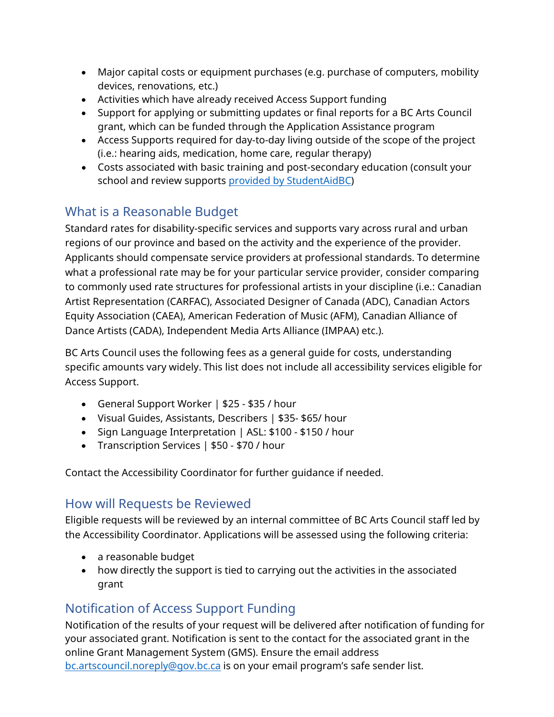- Major capital costs or equipment purchases (e.g. purchase of computers, mobility devices, renovations, etc.)
- Activities which have already received Access Support funding
- Support for applying or submitting updates or final reports for a BC Arts Council grant, which can be funded through the Application Assistance program
- Access Supports required for day-to-day living outside of the scope of the project (i.e.: hearing aids, medication, home care, regular therapy)
- Costs associated with basic training and post-secondary education (consult your school and review support[s provided by StudentAidBC\)](https://studentaidbc.ca/explore/grants-scholarships)

## What is a Reasonable Budget

Standard rates for disability-specific services and supports vary across rural and urban regions of our province and based on the activity and the experience of the provider. Applicants should compensate service providers at professional standards. To determine what a professional rate may be for your particular service provider, consider comparing to commonly used rate structures for professional artists in your discipline (i.e.: Canadian Artist Representation (CARFAC), Associated Designer of Canada (ADC), Canadian Actors Equity Association (CAEA), American Federation of Music (AFM), Canadian Alliance of Dance Artists (CADA), Independent Media Arts Alliance (IMPAA) etc.).

BC Arts Council uses the following fees as a general guide for costs, understanding specific amounts vary widely. This list does not include all accessibility services eligible for Access Support.

- General Support Worker | \$25 \$35 / hour
- Visual Guides, Assistants, Describers | \$35- \$65/ hour
- Sign Language Interpretation | ASL: \$100 \$150 / hour
- Transcription Services | \$50 \$70 / hour

Contact the Accessibility Coordinator for further guidance if needed.

### How will Requests be Reviewed

Eligible requests will be reviewed by an internal committee of BC Arts Council staff led by the Accessibility Coordinator. Applications will be assessed using the following criteria:

- a reasonable budget
- how directly the support is tied to carrying out the activities in the associated grant

# Notification of Access Support Funding

Notification of the results of your request will be delivered after notification of funding for your associated grant. Notification is sent to the contact for the associated grant in the online Grant Management System (GMS). Ensure the email address [bc.artscouncil.noreply@gov.bc.ca](mailto:bc.artscouncil.noreply@gov.bc.ca) is on your email program's safe sender list.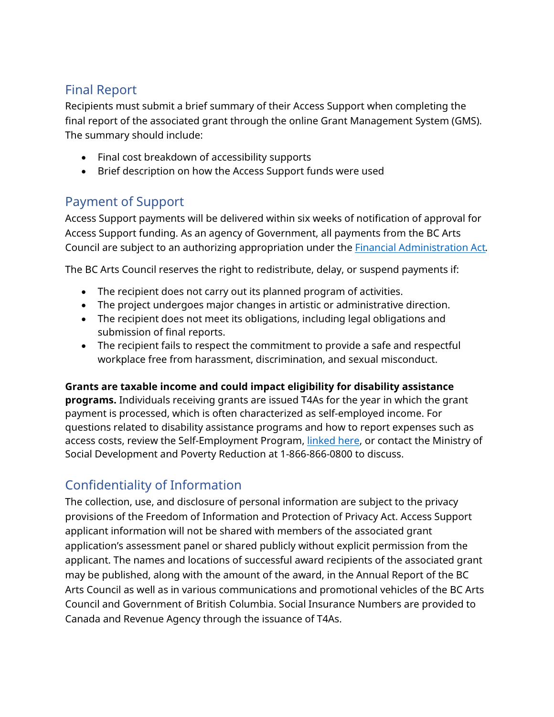### Final Report

Recipients must submit a brief summary of their Access Support when completing the final report of the associated grant through the online Grant Management System (GMS). The summary should include:

- Final cost breakdown of accessibility supports
- Brief description on how the Access Support funds were used

# Payment of Support

Access Support payments will be delivered within six weeks of notification of approval for Access Support funding. As an agency of Government, all payments from the BC Arts Council are subject to an authorizing appropriation under the [Financial Administration Act](https://www.bclaws.gov.bc.ca/civix/document/id/complete/statreg/96138_01)*.*

The BC Arts Council reserves the right to redistribute, delay, or suspend payments if:

- The recipient does not carry out its planned program of activities.
- The project undergoes major changes in artistic or administrative direction.
- The recipient does not meet its obligations, including legal obligations and submission of final reports.
- The recipient fails to respect the commitment to provide a safe and respectful workplace free from harassment, discrimination, and sexual misconduct.

#### **Grants are taxable income and could impact eligibility for disability assistance**

**programs.** Individuals receiving grants are issued T4As for the year in which the grant payment is processed, which is often characterized as self-employed income. For questions related to disability assistance programs and how to report expenses such as access costs, review the Self-Employment Program, [linked here,](https://www2.gov.bc.ca/gov/content/governments/policies-for-government/bcea-policy-and-procedure-manual/eppe/self-employment-program-sep-for-ppmb-and-pwd) or contact the Ministry of Social Development and Poverty Reduction at 1-866-866-0800 to discuss.

# Confidentiality of Information

The collection, use, and disclosure of personal information are subject to the privacy provisions of the Freedom of Information and Protection of Privacy Act. Access Support applicant information will not be shared with members of the associated grant application's assessment panel or shared publicly without explicit permission from the applicant. The names and locations of successful award recipients of the associated grant may be published, along with the amount of the award, in the Annual Report of the BC Arts Council as well as in various communications and promotional vehicles of the BC Arts Council and Government of British Columbia. Social Insurance Numbers are provided to Canada and Revenue Agency through the issuance of T4As.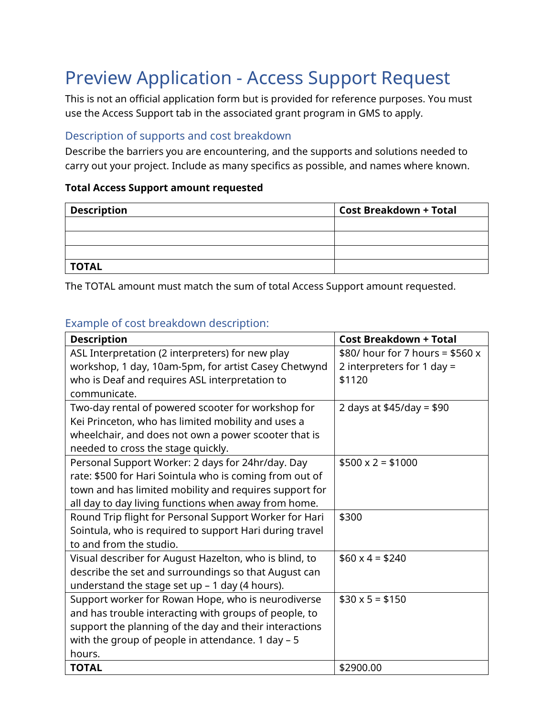# Preview Application - Access Support Request

This is not an official application form but is provided for reference purposes. You must use the Access Support tab in the associated grant program in GMS to apply.

#### Description of supports and cost breakdown

Describe the barriers you are encountering, and the supports and solutions needed to carry out your project. Include as many specifics as possible, and names where known.

#### **Total Access Support amount requested**

| <b>Description</b> | <b>Cost Breakdown + Total</b> |
|--------------------|-------------------------------|
|                    |                               |
|                    |                               |
|                    |                               |
| <b>TOTAL</b>       |                               |

The TOTAL amount must match the sum of total Access Support amount requested.

#### Example of cost breakdown description:

| <b>Description</b>                                      | <b>Cost Breakdown + Total</b>      |
|---------------------------------------------------------|------------------------------------|
| ASL Interpretation (2 interpreters) for new play        | \$80/ hour for 7 hours = \$560 $x$ |
| workshop, 1 day, 10am-5pm, for artist Casey Chetwynd    | 2 interpreters for 1 day $=$       |
| who is Deaf and requires ASL interpretation to          | \$1120                             |
| communicate.                                            |                                    |
| Two-day rental of powered scooter for workshop for      | 2 days at \$45/day = \$90          |
| Kei Princeton, who has limited mobility and uses a      |                                    |
| wheelchair, and does not own a power scooter that is    |                                    |
| needed to cross the stage quickly.                      |                                    |
| Personal Support Worker: 2 days for 24hr/day. Day       | $$500 \times 2 = $1000$            |
| rate: \$500 for Hari Sointula who is coming from out of |                                    |
| town and has limited mobility and requires support for  |                                    |
| all day to day living functions when away from home.    |                                    |
| Round Trip flight for Personal Support Worker for Hari  | \$300                              |
| Sointula, who is required to support Hari during travel |                                    |
| to and from the studio.                                 |                                    |
| Visual describer for August Hazelton, who is blind, to  | $$60 \times 4 = $240$              |
| describe the set and surroundings so that August can    |                                    |
| understand the stage set up $-1$ day (4 hours).         |                                    |
| Support worker for Rowan Hope, who is neurodiverse      | $$30 \times 5 = $150$              |
| and has trouble interacting with groups of people, to   |                                    |
| support the planning of the day and their interactions  |                                    |
| with the group of people in attendance. 1 day - 5       |                                    |
| hours.                                                  |                                    |
| <b>TOTAL</b>                                            | \$2900.00                          |